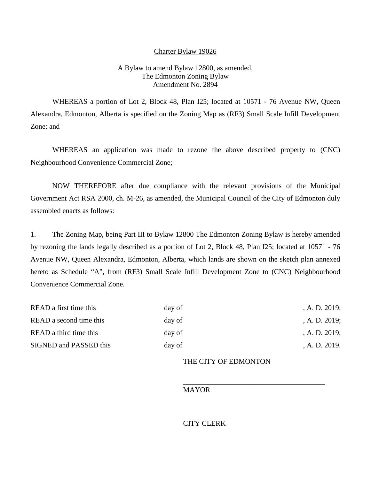### Charter Bylaw 19026

## A Bylaw to amend Bylaw 12800, as amended, The Edmonton Zoning Bylaw Amendment No. 2894

WHEREAS a portion of Lot 2, Block 48, Plan I25; located at 10571 - 76 Avenue NW, Queen Alexandra, Edmonton, Alberta is specified on the Zoning Map as (RF3) Small Scale Infill Development Zone; and

WHEREAS an application was made to rezone the above described property to (CNC) Neighbourhood Convenience Commercial Zone;

NOW THEREFORE after due compliance with the relevant provisions of the Municipal Government Act RSA 2000, ch. M-26, as amended, the Municipal Council of the City of Edmonton duly assembled enacts as follows:

1. The Zoning Map, being Part III to Bylaw 12800 The Edmonton Zoning Bylaw is hereby amended by rezoning the lands legally described as a portion of Lot 2, Block 48, Plan I25; located at 10571 - 76 Avenue NW, Queen Alexandra, Edmonton, Alberta, which lands are shown on the sketch plan annexed hereto as Schedule "A", from (RF3) Small Scale Infill Development Zone to (CNC) Neighbourhood Convenience Commercial Zone.

| READ a first time this  | day of | , A. D. $2019$ ; |
|-------------------------|--------|------------------|
| READ a second time this | day of | A. D. 2019;      |
| READ a third time this  | day of | , A. D. $2019$ ; |
| SIGNED and PASSED this  | day of | , A. D. 2019.    |

## THE CITY OF EDMONTON

\_\_\_\_\_\_\_\_\_\_\_\_\_\_\_\_\_\_\_\_\_\_\_\_\_\_\_\_\_\_\_\_\_\_\_\_\_\_\_

\_\_\_\_\_\_\_\_\_\_\_\_\_\_\_\_\_\_\_\_\_\_\_\_\_\_\_\_\_\_\_\_\_\_\_\_\_\_\_

## MAYOR

# CITY CLERK